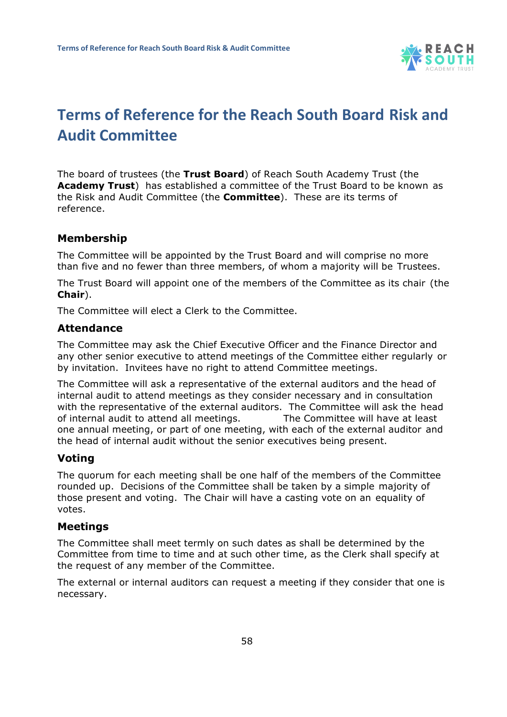

# **Terms of Reference for the Reach South Board Risk and Audit Committee**

The board of trustees (the **Trust Board**) of Reach South Academy Trust (the **Academy Trust**) has established a committee of the Trust Board to be known as the Risk and Audit Committee (the **Committee**). These are its terms of reference.

# **Membership**

The Committee will be appointed by the Trust Board and will comprise no more than five and no fewer than three members, of whom a majority will be Trustees.

The Trust Board will appoint one of the members of the Committee as its chair (the **Chair**).

The Committee will elect a Clerk to the Committee.

## **Attendance**

The Committee may ask the Chief Executive Officer and the Finance Director and any other senior executive to attend meetings of the Committee either regularly or by invitation. Invitees have no right to attend Committee meetings.

The Committee will ask a representative of the external auditors and the head of internal audit to attend meetings as they consider necessary and in consultation with the representative of the external auditors. The Committee will ask the head of internal audit to attend all meetings. The Committee will have at least one annual meeting, or part of one meeting, with each of the external auditor and the head of internal audit without the senior executives being present.

## **Voting**

The quorum for each meeting shall be one half of the members of the Committee rounded up. Decisions of the Committee shall be taken by a simple majority of those present and voting. The Chair will have a casting vote on an equality of votes.

#### **Meetings**

The Committee shall meet termly on such dates as shall be determined by the Committee from time to time and at such other time, as the Clerk shall specify at the request of any member of the Committee.

The external or internal auditors can request a meeting if they consider that one is necessary.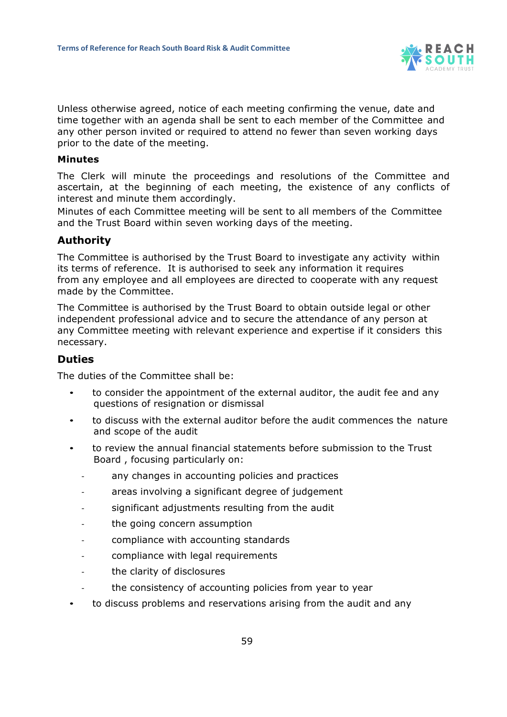

Unless otherwise agreed, notice of each meeting confirming the venue, date and time together with an agenda shall be sent to each member of the Committee and any other person invited or required to attend no fewer than seven working days prior to the date of the meeting.

#### **Minutes**

The Clerk will minute the proceedings and resolutions of the Committee and ascertain, at the beginning of each meeting, the existence of any conflicts of interest and minute them accordingly.

Minutes of each Committee meeting will be sent to all members of the Committee and the Trust Board within seven working days of the meeting.

## **Authority**

The Committee is authorised by the Trust Board to investigate any activity within its terms of reference. It is authorised to seek any information it requires from any employee and all employees are directed to cooperate with any request made by the Committee.

The Committee is authorised by the Trust Board to obtain outside legal or other independent professional advice and to secure the attendance of any person at any Committee meeting with relevant experience and expertise if it considers this necessary.

# **Duties**

The duties of the Committee shall be:

- to consider the appointment of the external auditor, the audit fee and any questions of resignation or dismissal
- to discuss with the external auditor before the audit commences the nature and scope of the audit
- to review the annual financial statements before submission to the Trust Board , focusing particularly on:
	- any changes in accounting policies and practices
	- areas involving a significant degree of judgement
	- significant adjustments resulting from the audit
	- the going concern assumption
	- compliance with accounting standards
	- compliance with legal requirements
	- the clarity of disclosures
	- the consistency of accounting policies from year to year
- to discuss problems and reservations arising from the audit and any